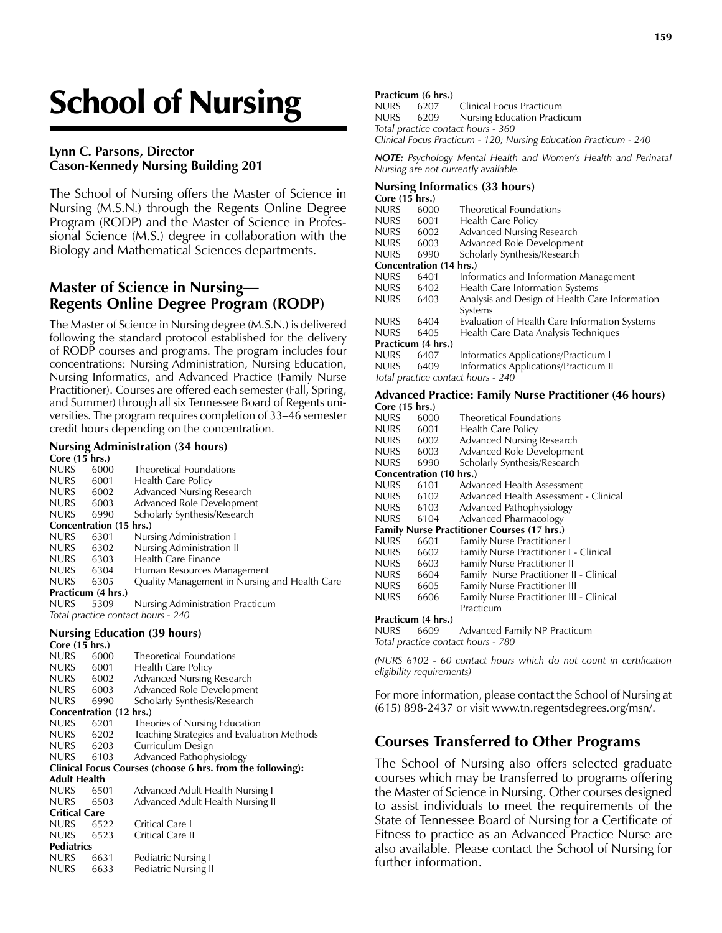# School of Nursing

#### **Lynn C. Parsons, Director Cason-Kennedy Nursing Building 201**

The School of Nursing offers the Master of Science in Nursing (M.S.N.) through the Regents Online Degree Program (RODP) and the Master of Science in Professional Science (M.S.) degree in collaboration with the Biology and Mathematical Sciences departments.

## **Master of Science in Nursing— Regents Online Degree Program (RODP)**

The Master of Science in Nursing degree (M.S.N.) is delivered following the standard protocol established for the delivery of RODP courses and programs. The program includes four concentrations: Nursing Administration, Nursing Education, Nursing Informatics, and Advanced Practice (Family Nurse Practitioner). Courses are offered each semester (Fall, Spring, and Summer) through all six Tennessee Board of Regents universities. The program requires completion of 33–46 semester credit hours depending on the concentration.

# **Nursing Administration (34 hours)**

| Core (15 hrs.)                     |      |                                               |  |  |  |  |
|------------------------------------|------|-----------------------------------------------|--|--|--|--|
| <b>NURS</b>                        | 6000 | <b>Theoretical Foundations</b>                |  |  |  |  |
| <b>NURS</b>                        | 6001 | Health Care Policy                            |  |  |  |  |
| <b>NURS</b>                        | 6002 | Advanced Nursing Research                     |  |  |  |  |
| <b>NURS</b>                        | 6003 | Advanced Role Development                     |  |  |  |  |
| <b>NURS</b>                        | 6990 | Scholarly Synthesis/Research                  |  |  |  |  |
| Concentration (15 hrs.)            |      |                                               |  |  |  |  |
| <b>NURS</b>                        | 6301 | Nursing Administration I                      |  |  |  |  |
| <b>NURS</b>                        | 6302 | Nursing Administration II                     |  |  |  |  |
| <b>NURS</b>                        | 6303 | Health Care Finance                           |  |  |  |  |
| <b>NURS</b>                        | 6304 | Human Resources Management                    |  |  |  |  |
| <b>NURS</b>                        | 6305 | Quality Management in Nursing and Health Care |  |  |  |  |
| Practicum (4 hrs.)                 |      |                                               |  |  |  |  |
| <b>NURS</b>                        | 5309 | Nursing Administration Practicum              |  |  |  |  |
| Total practice contact hours - 240 |      |                                               |  |  |  |  |

#### **Nursing Education (39 hours)**

NURS 6631 Pediatric Nursing I NURS 6633 Pediatric Nursing II

**Pediatrics**

| Core $(15 \text{ hrs.})$                                   |                                            |  |  |  |  |  |
|------------------------------------------------------------|--------------------------------------------|--|--|--|--|--|
| 6000                                                       | <b>Theoretical Foundations</b>             |  |  |  |  |  |
| 6001                                                       | Health Care Policy                         |  |  |  |  |  |
| 6002                                                       | <b>Advanced Nursing Research</b>           |  |  |  |  |  |
| 6003                                                       | Advanced Role Development                  |  |  |  |  |  |
| 6990                                                       | Scholarly Synthesis/Research               |  |  |  |  |  |
| Concentration (12 hrs.)                                    |                                            |  |  |  |  |  |
| 6201                                                       | Theories of Nursing Education              |  |  |  |  |  |
| 6202                                                       | Teaching Strategies and Evaluation Methods |  |  |  |  |  |
| 6203                                                       | Curriculum Design                          |  |  |  |  |  |
| 6103                                                       | Advanced Pathophysiology                   |  |  |  |  |  |
| Clinical Focus Courses (choose 6 hrs. from the following): |                                            |  |  |  |  |  |
| Adult Health                                               |                                            |  |  |  |  |  |
| 6501                                                       | Advanced Adult Health Nursing I            |  |  |  |  |  |
| 6503                                                       | Advanced Adult Health Nursing II           |  |  |  |  |  |
| <b>Critical Care</b>                                       |                                            |  |  |  |  |  |
| 6522                                                       | Critical Care I                            |  |  |  |  |  |
| 6523                                                       | Critical Care II                           |  |  |  |  |  |
|                                                            |                                            |  |  |  |  |  |

#### **Practicum (6 hrs.)**

NURS 6207 Clinical Focus Practicum NURS 6209 Nursing Education Practicum *Total practice contact hours - 360 Clinical Focus Practicum - 120; Nursing Education Practicum - 240*

*NOTE: Psychology Mental Health and Women's Health and Perinatal Nursing are not currently available.*

#### **Nursing Informatics (33 hours)**

| Core (15 hrs.)                     |      |                                                |  |  |  |
|------------------------------------|------|------------------------------------------------|--|--|--|
| <b>NURS</b>                        | 6000 | <b>Theoretical Foundations</b>                 |  |  |  |
| <b>NURS</b>                        | 6001 | Health Care Policy                             |  |  |  |
| <b>NURS</b>                        | 6002 | <b>Advanced Nursing Research</b>               |  |  |  |
| <b>NURS</b>                        | 6003 | Advanced Role Development                      |  |  |  |
| <b>NURS</b>                        | 6990 | Scholarly Synthesis/Research                   |  |  |  |
| Concentration (14 hrs.)            |      |                                                |  |  |  |
| <b>NURS</b>                        | 6401 | Informatics and Information Management         |  |  |  |
| <b>NURS</b>                        | 6402 | Health Care Information Systems                |  |  |  |
| <b>NURS</b>                        | 6403 | Analysis and Design of Health Care Information |  |  |  |
|                                    |      | Systems                                        |  |  |  |
| <b>NURS</b>                        | 6404 | Evaluation of Health Care Information Systems  |  |  |  |
| <b>NURS</b>                        | 6405 | Health Care Data Analysis Techniques           |  |  |  |
| Practicum (4 hrs.)                 |      |                                                |  |  |  |
| <b>NURS</b>                        | 6407 | Informatics Applications/Practicum I           |  |  |  |
| <b>NURS</b>                        | 6409 | Informatics Applications/Practicum II          |  |  |  |
| Total practice contact hours - 240 |      |                                                |  |  |  |

#### **Advanced Practice: Family Nurse Practitioner (46 hours)**

| Core (15 hrs.)                                     |      |                                          |  |  |  |
|----------------------------------------------------|------|------------------------------------------|--|--|--|
| <b>NURS</b>                                        | 6000 | <b>Theoretical Foundations</b>           |  |  |  |
| NURS.                                              | 6001 | Health Care Policy                       |  |  |  |
| NURS                                               | 6002 | Advanced Nursing Research                |  |  |  |
| NURS                                               | 6003 | Advanced Role Development                |  |  |  |
| <b>NURS</b>                                        | 6990 | Scholarly Synthesis/Research             |  |  |  |
| <b>Concentration (10 hrs.)</b>                     |      |                                          |  |  |  |
| NURS.                                              | 6101 | Advanced Health Assessment               |  |  |  |
| NURS.                                              | 6102 | Advanced Health Assessment - Clinical    |  |  |  |
| NURS                                               | 6103 | Advanced Pathophysiology                 |  |  |  |
| NURS                                               | 6104 | Advanced Pharmacology                    |  |  |  |
| <b>Family Nurse Practitioner Courses (17 hrs.)</b> |      |                                          |  |  |  |
| NURS                                               | 6601 | <b>Family Nurse Practitioner I</b>       |  |  |  |
| NURS.                                              | 6602 | Family Nurse Practitioner I - Clinical   |  |  |  |
| NURS.                                              | 6603 | <b>Family Nurse Practitioner II</b>      |  |  |  |
| NURS                                               | 6604 | Family Nurse Practitioner II - Clinical  |  |  |  |
| NURS                                               | 6605 | Family Nurse Practitioner III            |  |  |  |
| <b>NURS</b>                                        | 6606 | Family Nurse Practitioner III - Clinical |  |  |  |
|                                                    |      | Practicum                                |  |  |  |
| Practicum (4 hrs.)                                 |      |                                          |  |  |  |
| NURS                                               | 6609 | Advanced Family NP Practicum             |  |  |  |
| Total practice contact hours - 780                 |      |                                          |  |  |  |

*(NURS 6102 - 60 contact hours which do not count in certification eligibility requirements)*

For more information, please contact the School of Nursing at (615) 898-2437 or visit www.tn.regentsdegrees.org/msn/.

## **Courses Transferred to Other Programs**

The School of Nursing also offers selected graduate courses which may be transferred to programs offering the Master of Science in Nursing. Other courses designed to assist individuals to meet the requirements of the State of Tennessee Board of Nursing for a Certificate of Fitness to practice as an Advanced Practice Nurse are also available. Please contact the School of Nursing for further information.